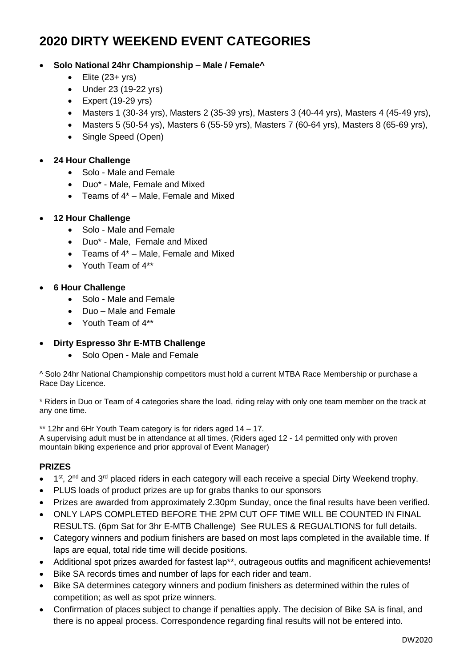# **2020 DIRTY WEEKEND EVENT CATEGORIES**

## • **Solo National 24hr Championship – Male / Female^**

- $\bullet$  Elite (23+ yrs)
- Under 23 (19-22 yrs)
- Expert (19-29 yrs)
- Masters 1 (30-34 yrs), Masters 2 (35-39 yrs), Masters 3 (40-44 yrs), Masters 4 (45-49 yrs),
- Masters 5 (50-54 ys), Masters 6 (55-59 yrs), Masters 7 (60-64 yrs), Masters 8 (65-69 yrs),
- Single Speed (Open)
- **24 Hour Challenge**
	- Solo Male and Female
	- Duo\* Male, Female and Mixed
	- Teams of 4\* Male, Female and Mixed
- **12 Hour Challenge**
	- Solo Male and Female
	- Duo\* Male, Female and Mixed
	- Teams of 4\* Male, Female and Mixed
	- Youth Team of  $4**$
- **6 Hour Challenge**
	- Solo Male and Female
	- Duo Male and Female
	- Youth Team of  $4**$

## • **Dirty Espresso 3hr E-MTB Challenge**

• Solo Open - Male and Female

^ Solo 24hr National Championship competitors must hold a current MTBA Race Membership or purchase a Race Day Licence.

\* Riders in Duo or Team of 4 categories share the load, riding relay with only one team member on the track at any one time.

\*\* 12hr and 6Hr Youth Team category is for riders aged 14 – 17. A supervising adult must be in attendance at all times. (Riders aged 12 - 14 permitted only with proven mountain biking experience and prior approval of Event Manager)

## **PRIZES**

- $\bullet$  1<sup>st</sup>, 2<sup>nd</sup> and 3<sup>rd</sup> placed riders in each category will each receive a special Dirty Weekend trophy.
- PLUS loads of product prizes are up for grabs thanks to our sponsors
- Prizes are awarded from approximately 2.30pm Sunday, once the final results have been verified.
- ONLY LAPS COMPLETED BEFORE THE 2PM CUT OFF TIME WILL BE COUNTED IN FINAL RESULTS. (6pm Sat for 3hr E-MTB Challenge) See RULES & REGUALTIONS for full details.
- Category winners and podium finishers are based on most laps completed in the available time. If laps are equal, total ride time will decide positions.
- Additional spot prizes awarded for fastest lap\*\*, outrageous outfits and magnificent achievements!
- Bike SA records times and number of laps for each rider and team.
- Bike SA determines category winners and podium finishers as determined within the rules of competition; as well as spot prize winners.
- Confirmation of places subject to change if penalties apply. The decision of Bike SA is final, and there is no appeal process. Correspondence regarding final results will not be entered into.